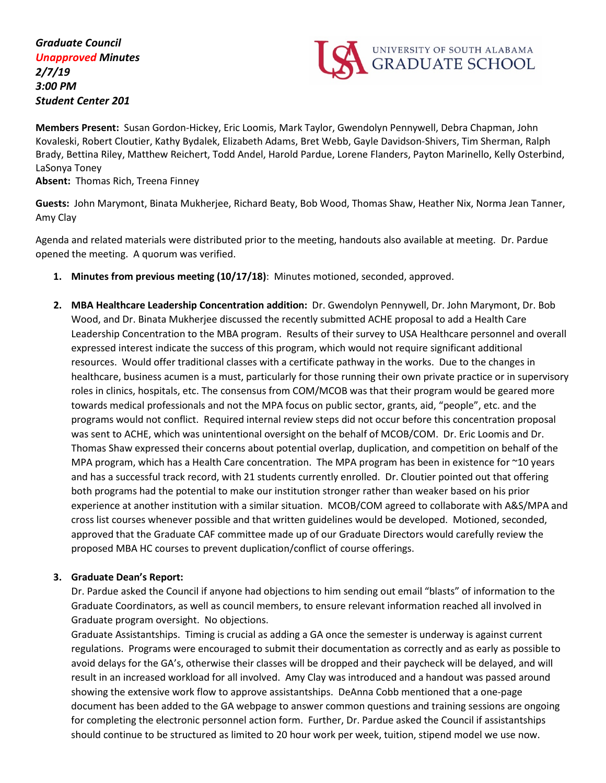*Graduate Council Unapproved Minutes 2/7/19 3:00 PM Student Center 201*



**Members Present:** Susan Gordon-Hickey, Eric Loomis, Mark Taylor, Gwendolyn Pennywell, Debra Chapman, John Kovaleski, Robert Cloutier, Kathy Bydalek, Elizabeth Adams, Bret Webb, Gayle Davidson-Shivers, Tim Sherman, Ralph Brady, Bettina Riley, Matthew Reichert, Todd Andel, Harold Pardue, Lorene Flanders, Payton Marinello, Kelly Osterbind, LaSonya Toney

**Absent:** Thomas Rich, Treena Finney

**Guests:** John Marymont, Binata Mukherjee, Richard Beaty, Bob Wood, Thomas Shaw, Heather Nix, Norma Jean Tanner, Amy Clay

Agenda and related materials were distributed prior to the meeting, handouts also available at meeting. Dr. Pardue opened the meeting. A quorum was verified.

- **1. Minutes from previous meeting (10/17/18)**: Minutes motioned, seconded, approved.
- **2. MBA Healthcare Leadership Concentration addition:** Dr. Gwendolyn Pennywell, Dr. John Marymont, Dr. Bob Wood, and Dr. Binata Mukherjee discussed the recently submitted ACHE proposal to add a Health Care Leadership Concentration to the MBA program. Results of their survey to USA Healthcare personnel and overall expressed interest indicate the success of this program, which would not require significant additional resources. Would offer traditional classes with a certificate pathway in the works. Due to the changes in healthcare, business acumen is a must, particularly for those running their own private practice or in supervisory roles in clinics, hospitals, etc. The consensus from COM/MCOB was that their program would be geared more towards medical professionals and not the MPA focus on public sector, grants, aid, "people", etc. and the programs would not conflict. Required internal review steps did not occur before this concentration proposal was sent to ACHE, which was unintentional oversight on the behalf of MCOB/COM. Dr. Eric Loomis and Dr. Thomas Shaw expressed their concerns about potential overlap, duplication, and competition on behalf of the MPA program, which has a Health Care concentration. The MPA program has been in existence for ~10 years and has a successful track record, with 21 students currently enrolled. Dr. Cloutier pointed out that offering both programs had the potential to make our institution stronger rather than weaker based on his prior experience at another institution with a similar situation. MCOB/COM agreed to collaborate with A&S/MPA and cross list courses whenever possible and that written guidelines would be developed. Motioned, seconded, approved that the Graduate CAF committee made up of our Graduate Directors would carefully review the proposed MBA HC courses to prevent duplication/conflict of course offerings.

## **3. Graduate Dean's Report:**

Dr. Pardue asked the Council if anyone had objections to him sending out email "blasts" of information to the Graduate Coordinators, as well as council members, to ensure relevant information reached all involved in Graduate program oversight. No objections.

Graduate Assistantships. Timing is crucial as adding a GA once the semester is underway is against current regulations. Programs were encouraged to submit their documentation as correctly and as early as possible to avoid delays for the GA's, otherwise their classes will be dropped and their paycheck will be delayed, and will result in an increased workload for all involved. Amy Clay was introduced and a handout was passed around showing the extensive work flow to approve assistantships. DeAnna Cobb mentioned that a one-page document has been added to the GA webpage to answer common questions and training sessions are ongoing for completing the electronic personnel action form. Further, Dr. Pardue asked the Council if assistantships should continue to be structured as limited to 20 hour work per week, tuition, stipend model we use now.